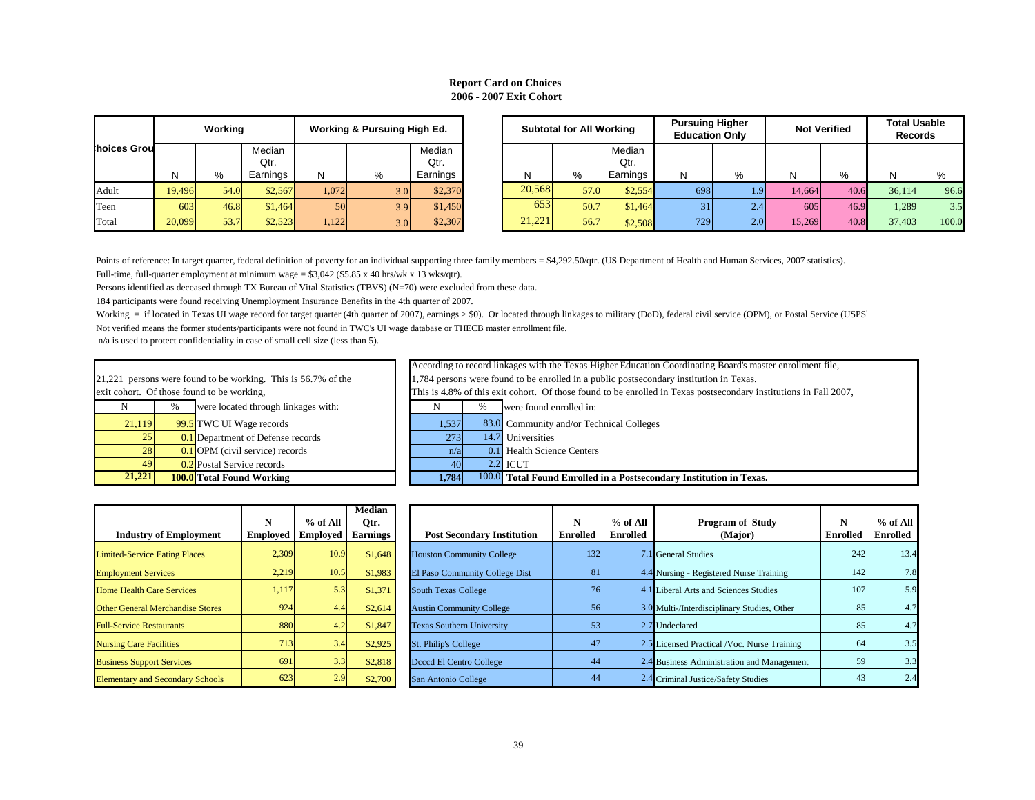N  $\parallel$  % were located through linkages with:  $\parallel$  N  $\parallel$  % were found enrolled in: 21,221 persons were found to be working. This is 56.7% of the exit cohort. Of those found to be working,

| <b>prking</b> | <b>Pursuing Higher</b><br><b>Education Only</b> |     |        | <b>Not Verified</b> | <b>Total Usable</b><br><b>Records</b> |       |  |
|---------------|-------------------------------------------------|-----|--------|---------------------|---------------------------------------|-------|--|
| Median        |                                                 |     |        |                     |                                       |       |  |
| Qtr.          |                                                 |     |        |                     |                                       |       |  |
| Earnings      | N                                               | %   | N      | %                   | N                                     | %     |  |
| \$2,554       | 698                                             | 1.9 | 14,664 | 40.6                | 36,114                                | 96.6  |  |
| \$1,464       | 31                                              | 2.4 | 605    | 46.9                | 1,289                                 | 3.5   |  |
| \$2,508       | 729                                             | 2.0 | 15,269 | 40.8                | 37,403                                | 100.0 |  |

n Fall 2007,

|             |        | Working |                |                 | <b>Working &amp; Pursuing High Ed.</b> |                | <b>Subtotal for All Working</b> |        | <b>Pursuing Higher</b><br><b>Education Only</b> |                | <b>Not Verified</b> |            | <b>Total Usable</b><br><b>Records</b> |      |        |       |
|-------------|--------|---------|----------------|-----------------|----------------------------------------|----------------|---------------------------------|--------|-------------------------------------------------|----------------|---------------------|------------|---------------------------------------|------|--------|-------|
| hoices Grou |        |         | Median<br>Qtr. |                 |                                        | Median<br>Qtr. |                                 |        |                                                 | Median<br>Qtr. |                     |            |                                       |      |        |       |
|             | N      | %       | Earnings       | N               | %                                      | Earnings       |                                 |        | %                                               | Earnings       | N.                  | %          | N                                     | %    |        |       |
| Adult       | 19,496 | 54.0    | \$2,567        | .072            | 3.0                                    | \$2,370        |                                 | 20,568 | 57.0                                            | \$2,554        | 698                 | l .91      | 14,664                                | 40.6 | 36,114 | 96.6  |
| Teen        | 603    | 46.8    | \$1,464        | 50 <sup>l</sup> | 3.9                                    | \$1,450        |                                 | 653    | 50.7                                            | \$1,464        | 31                  | 2.4        | 605                                   | 46.9 | 1,289  | 3.5   |
| Total       | 20,099 | 53.7    | \$2,523        | .122            | 3.0                                    | \$2,307        |                                 | 21,221 | 56.7                                            | \$2,508        | 729                 | <b>2.0</b> | 15,269                                | 40.8 | 37,403 | 100.0 |

Full-time, full-quarter employment at minimum wage =  $$3,042$  (\$5.85 x 40 hrs/wk x 13 wks/qtr). Points of reference: In target quarter, federal definition of poverty for an individual supporting three family members = \$4,292.50/qtr. (US Department of Health and Human Services, 2007 statistics).

Persons identified as deceased through TX Bureau of Vital Statistics (TBVS) (N=70) were excluded from these data.

| 21.221 | ---- --                                   | $\sim$ $ \sim$ $\sim$ | $1000 = -7$                |
|--------|-------------------------------------------|-----------------------|----------------------------|
| 49     | 0.2 Postal Service records                | 40                    | $2.2$ ICUT                 |
| 281    | $\boxed{0.1}$ OPM (civil service) records | n/a                   | 0.1 Health Science Centers |
| 251    | <b>0.1</b> Department of Defense records  | 272                   | 14.7 Universities          |
|        |                                           |                       |                            |

Working = if located in Texas UI wage record for target quarter (4th quarter of 2007), earnings > \$0). Or located through linkages to military (DoD), federal civil service (OPM), or Postal Service (USPS) Not verified means the former students/participants were not found in TWC's UI wage database or THECB master enrollment file.

| 21,221                                                 |   | <b>100.0</b> Total Found Working    | 1,784                                                                                                          |      | 100.0 Total Found Enrolled in a Postsecondary Institution in Texas. |  |  |  |
|--------------------------------------------------------|---|-------------------------------------|----------------------------------------------------------------------------------------------------------------|------|---------------------------------------------------------------------|--|--|--|
| 49                                                     |   | 0.2 Postal Service records          | 40                                                                                                             |      | $2.2$ ICUT                                                          |  |  |  |
| 28                                                     |   | $0.1$ OPM (civil service) records   | n/a                                                                                                            |      | 0.1 Health Science Centers                                          |  |  |  |
| 25                                                     |   | 0.1 Department of Defense records   | 273                                                                                                            |      | 14.7 Universities                                                   |  |  |  |
| 21,119                                                 |   | 99.5 TWC UI Wage records            | 1,537                                                                                                          |      | 83.0 Community and/or Technical Colleges                            |  |  |  |
|                                                        | % | were located through linkages with: |                                                                                                                | $\%$ | were found enrolled in:                                             |  |  |  |
|                                                        |   | nort. Of those found to be working, | This is 4.8% of this exit cohort. Of those found to be enrolled in Texas postsecondary institutions in Fall 20 |      |                                                                     |  |  |  |
| persons were found to be working. This is 56.7% of the |   |                                     | 1,784 persons were found to be enrolled in a public postsecondary institution in Texas.                        |      |                                                                     |  |  |  |
|                                                        |   |                                     | According to record linkages with the Texas Higher Education Coordinating Board's master enrollment file,      |      |                                                                     |  |  |  |

# **Report Card on Choices 2006 - 2007 Exit Cohort**

| <b>Industry of Employment</b>     | N<br><b>Employed</b> | $%$ of All<br><b>Employed</b> | <b>Median</b><br>Qtr.<br><b>Earnings</b> | <b>Post Secondary Institution</b> | N<br><b>Enrolled</b> | $%$ of All<br><b>Enrolled</b> | <b>Program of Study</b><br>(Major)          | $\mathbf N$<br><b>Enrolled</b> | $%$ of All<br><b>Enrolled</b> |
|-----------------------------------|----------------------|-------------------------------|------------------------------------------|-----------------------------------|----------------------|-------------------------------|---------------------------------------------|--------------------------------|-------------------------------|
| ed-Service Eating Places          | 2,309                | 10.9                          | \$1,648                                  | <b>Houston Community College</b>  | 132                  |                               | 7.1 General Studies                         | 242                            | 13.4                          |
| oyment Services                   | 2,219                | 10.5                          | \$1,983                                  | El Paso Community College Dist    | 81                   |                               | 4.4 Nursing - Registered Nurse Training     | 142                            | 7.8                           |
| <b>Health Care Services</b>       | 1,117                | 5.3                           | \$1,371                                  | <b>South Texas College</b>        | 76                   |                               | 4.1 Liberal Arts and Sciences Studies       | 107                            | 5.9                           |
| <b>General Merchandise Stores</b> | 924                  | 4.4                           | \$2,614                                  | <b>Austin Community College</b>   | 56                   |                               | 3.0 Multi-/Interdisciplinary Studies, Other | 85                             | 4.7                           |
| Service Restaurants               | 880                  | 4.2                           | \$1,847                                  | <b>Texas Southern University</b>  | 53                   |                               | 2.7 Undeclared                              | 85                             | 4.7                           |
| ng Care Facilities                | 713                  | 3.4                           | \$2,925                                  | St. Philip's College              | 47                   |                               | 2.5 Licensed Practical /Voc. Nurse Training | 64                             | 3.5                           |
| less Support Services             | 691                  | 3.3                           | \$2,818                                  | Deced El Centro College           | 44                   |                               | 2.4 Business Administration and Management  | 59                             | 3.3                           |
| entary and Secondary Schools      | 623                  | 2.9                           | \$2,700                                  | San Antonio College               | 44                   |                               | 2.4 Criminal Justice/Safety Studies         | 43                             | 2.4                           |

| <b>Industry of Employment</b>           | N<br><b>Employed</b> | $%$ of All<br><b>Employed</b> | <b>Median</b><br>Otr.<br><b>Earnings</b> | <b>Post Secondary In</b>       |
|-----------------------------------------|----------------------|-------------------------------|------------------------------------------|--------------------------------|
| <b>Limited-Service Eating Places</b>    | 2,309                | 10.9                          | \$1,648                                  | <b>Houston Community Col</b>   |
| <b>Employment Services</b>              | 2,219                | 10.5                          | \$1,983                                  | <b>El Paso Community Coll</b>  |
| <b>Home Health Care Services</b>        | 1,117                | 5.3                           | \$1,371                                  | <b>South Texas College</b>     |
| <b>Other General Merchandise Stores</b> | 924                  | 4.4                           | \$2,614                                  | <b>Austin Community Colle</b>  |
| <b>Full-Service Restaurants</b>         | 880                  | 4.2                           | \$1,847                                  | <b>Texas Southern Universi</b> |
| <b>Nursing Care Facilities</b>          | 713                  | 3.4                           | \$2,925                                  | St. Philip's College           |
| <b>Business Support Services</b>        | 691                  | 3.3                           | \$2,818                                  | Deced El Centro College        |
| <b>Elementary and Secondary Schools</b> | 623                  | 2.9                           | \$2,700                                  | San Antonio College            |

n/a is used to protect confidentiality in case of small cell size (less than 5).

184 participants were found receiving Unemployment Insurance Benefits in the 4th quarter of 2007.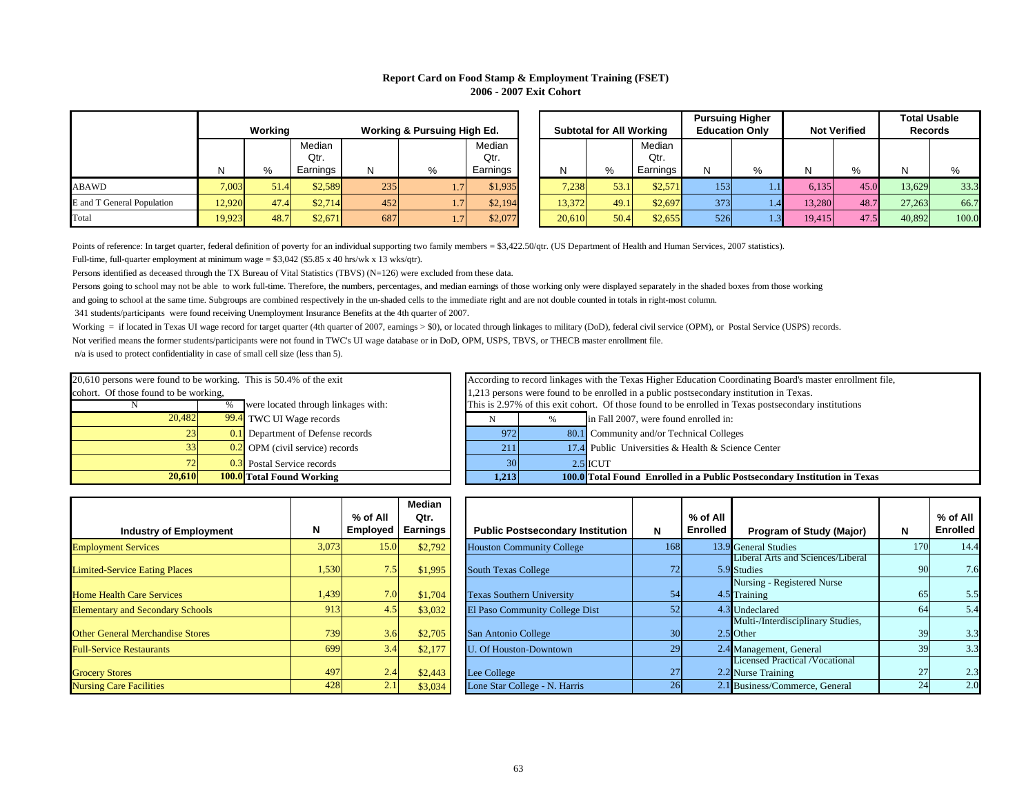Persons going to school may not be able to work full-time. Therefore, the numbers, percentages, and median earnings of those working only were displayed separately in the shaded boxes from those working and going to school at the same time. Subgroups are combined respectively in the un-shaded cells to the immediate right and are not double counted in totals in right-most column.

|                            |        |         |          |     |                                        |          |        |                                 |          |     | <b>Pursuing Higher</b> |        |                     |        | <b>Total Usable</b> |
|----------------------------|--------|---------|----------|-----|----------------------------------------|----------|--------|---------------------------------|----------|-----|------------------------|--------|---------------------|--------|---------------------|
|                            |        | Working |          |     | <b>Working &amp; Pursuing High Ed.</b> |          |        | <b>Subtotal for All Working</b> |          |     | <b>Education Only</b>  |        | <b>Not Verified</b> |        | <b>Records</b>      |
|                            |        |         | Median   |     |                                        | Median   |        |                                 | Median   |     |                        |        |                     |        |                     |
|                            |        |         | Qtr.     |     |                                        | Qtr.     |        |                                 | Qtr.     |     |                        |        |                     |        |                     |
|                            |        | %       | Earnings |     | %                                      | Earnings |        | %                               | Earnings |     | $O_{\alpha}$           |        | $\%$                |        |                     |
| ABAWD                      | 7,003  | 51.4    | \$2,589  | 235 | 1.7V                                   | \$1,935  | 7,238  | 53.1                            | \$2,571  | 153 | 1.11                   | 6,135  | 45.0                | 13,629 | 33.3                |
| E and T General Population | 12,920 | 47.4    | \$2,714  | 452 | $\left  .7 \right $                    | \$2,194  | 13,372 | 49.1                            | \$2,697  | 373 | 1.4                    | 13,280 | 48.7                | 27,263 | 66.7                |
| Total                      | 19,923 | 48.7    | \$2,671  | 687 | $\left  .7 \right $                    | \$2,077  | 20,610 | 50.4                            | \$2,655  | 526 | 1.3V                   | 19,415 | 47.5                | 40,892 | 100.0               |

Full-time, full-quarter employment at minimum wage = \$3,042 (\$5.85 x 40 hrs/wk x 13 wks/qtr). Points of reference: In target quarter, federal definition of poverty for an individual supporting two family members = \$3,422.50/qtr. (US Department of Health and Human Services, 2007 statistics).

Persons identified as deceased through the TX Bureau of Vital Statistics (TBVS) (N=126) were excluded from these data.

|                                         |       | % of All        | <b>Median</b><br>Qtr. |                                  |
|-----------------------------------------|-------|-----------------|-----------------------|----------------------------------|
| <b>Industry of Employment</b>           | N     | <b>Employed</b> | <b>Earnings</b>       | <b>Public Postsecondar</b>       |
| <b>Employment Services</b>              | 3,073 | 15.0            | \$2,792               | <b>Houston Community Colle</b>   |
| <b>Limited-Service Eating Places</b>    | 1,530 | 7.5             | \$1,995               | <b>South Texas College</b>       |
| <b>Home Health Care Services</b>        | 1,439 | 7.0             | \$1,704               | <b>Texas Southern University</b> |
| <b>Elementary and Secondary Schools</b> | 913   | 4.5             | \$3,032               | El Paso Community Colle          |
| <b>Other General Merchandise Stores</b> | 739   | 3.6             | \$2,705               | San Antonio College              |
| <b>Full-Service Restaurants</b>         | 699   | 3.4             | \$2,177               | <b>U. Of Houston-Downtown</b>    |
| <b>Grocery Stores</b>                   | 497   | 2.4             | \$2,443               | Lee College                      |
| <b>Nursing Care Facilities</b>          | 428   | 2.1             | \$3,034               | Lone Star College - N. Har       |

|       | $%$ of All      | <b>Median</b><br>Qtr. |                                         |                 | % of All        |                                          |     | % of All        |
|-------|-----------------|-----------------------|-----------------------------------------|-----------------|-----------------|------------------------------------------|-----|-----------------|
|       | <b>Employed</b> | <b>Earnings</b>       | <b>Public Postsecondary Institution</b> | N               | <b>Enrolled</b> | <b>Program of Study (Major)</b>          | N   | <b>Enrolled</b> |
| 3,073 | 15.0            | \$2,792               | <b>Houston Community College</b>        | 168             |                 | 13.9 General Studies                     | 170 | 14.4            |
|       |                 |                       |                                         |                 |                 | <b>Liberal Arts and Sciences/Liberal</b> |     |                 |
| 1,530 | 7.5             | \$1,995               | <b>South Texas College</b>              | 72              |                 | 5.9 Studies                              | 90  | 7.6             |
|       |                 |                       |                                         |                 |                 | Nursing - Registered Nurse               |     |                 |
| 1,439 | 7.0             | \$1,704               | <b>Texas Southern University</b>        | 54              |                 | 4.5 Training                             | 65  | 5.5             |
| 913   | 4.5             | \$3,032               | El Paso Community College Dist          | 52              |                 | 4.3 Undeclared                           | 64  | 5.4             |
|       |                 |                       |                                         |                 |                 | Multi-/Interdisciplinary Studies,        |     |                 |
| 739   | 3.6             | \$2,705               | San Antonio College                     | 30 <sub>l</sub> |                 | $2.5$ Other                              | 39  | 3.3             |
| 699   | 3.4             | \$2,177               | <b>U. Of Houston-Downtown</b>           | 29              |                 | 2.4 Management, General                  | 39  | 3.3             |
|       |                 |                       |                                         |                 |                 | <b>Licensed Practical /Vocational</b>    |     |                 |
| 497   | 2.4             | \$2,443               | Lee College                             | 27              |                 | 2.2 Nurse Training                       | 27  | 2.3             |
| 428   | 2.1             | \$3,034               | Lone Star College - N. Harris           | 26              |                 | 2.1 Business/Commerce, General           | 24  | 2.0             |

## **Report Card on Food Stamp & Employment Training (FSET) 2006 - 2007 Exit Cohort**

Working = if located in Texas UI wage record for target quarter (4th quarter of 2007, earnings > \$0), or located through linkages to military (DoD), federal civil service (OPM), or Postal Service (USPS) records. Not verified means the former students/participants were not found in TWC's UI wage database or in DoD, OPM, USPS, TBVS, or THECB master enrollment file. n/a is used to protect confidentiality in case of small cell size (less than 5).

| 20,610                                                             |                | <b>100.0</b> Total Found Working             | 1,213         |
|--------------------------------------------------------------------|----------------|----------------------------------------------|---------------|
| 72                                                                 |                | 0.3 Postal Service records                   | 30            |
| 33                                                                 |                | $\overline{0.2}$ OPM (civil service) records | 211           |
| 23                                                                 |                | <b>0.1</b> Department of Defense records     | 972           |
| 20,482                                                             |                | 99.4 TWC UI Wage records                     |               |
|                                                                    | $\%$           | were located through linkages with:          | This is 2.979 |
| cohort. Of those found to be working,                              | $1,213$ person |                                              |               |
| 20,610 persons were found to be working. This is 50.4% of the exit | According to   |                                              |               |

| 1.2131 |               | <b>100.0</b> Total Found Enrolled in a Public Postsecondary In |
|--------|---------------|----------------------------------------------------------------|
| 30     |               | $2.5$ ICUT                                                     |
| 211    |               | 17.4 Public Universities & Health & Science Center             |
| 972    |               | 80.1 Community and/or Technical Colleges                       |
| N      | $\frac{0}{0}$ | in Fall 2007, were found enrolled in:                          |

|        | <b>Not Verified</b> | <b>Total Usable</b><br>Records |       |  |  |  |
|--------|---------------------|--------------------------------|-------|--|--|--|
|        |                     |                                |       |  |  |  |
| N      | %                   | N                              | %     |  |  |  |
| 6,135  | 45.0                | 13,629                         | 33.3  |  |  |  |
| 13,280 | 48.7                | 27,263                         | 66.7  |  |  |  |
| 19,415 | 47.5                | 40,892                         | 100.0 |  |  |  |

**Stitution in Texas** 

341 students/participants were found receiving Unemployment Insurance Benefits at the 4th quarter of 2007.

According to record linkages with the Texas Higher Education Coordinating Board's master enrollment file, This is 2.97% of this exit cohort. Of those found to be enrolled in Texas postsecondary institutions 1,213 persons were found to be enrolled in a public postsecondary institution in Texas.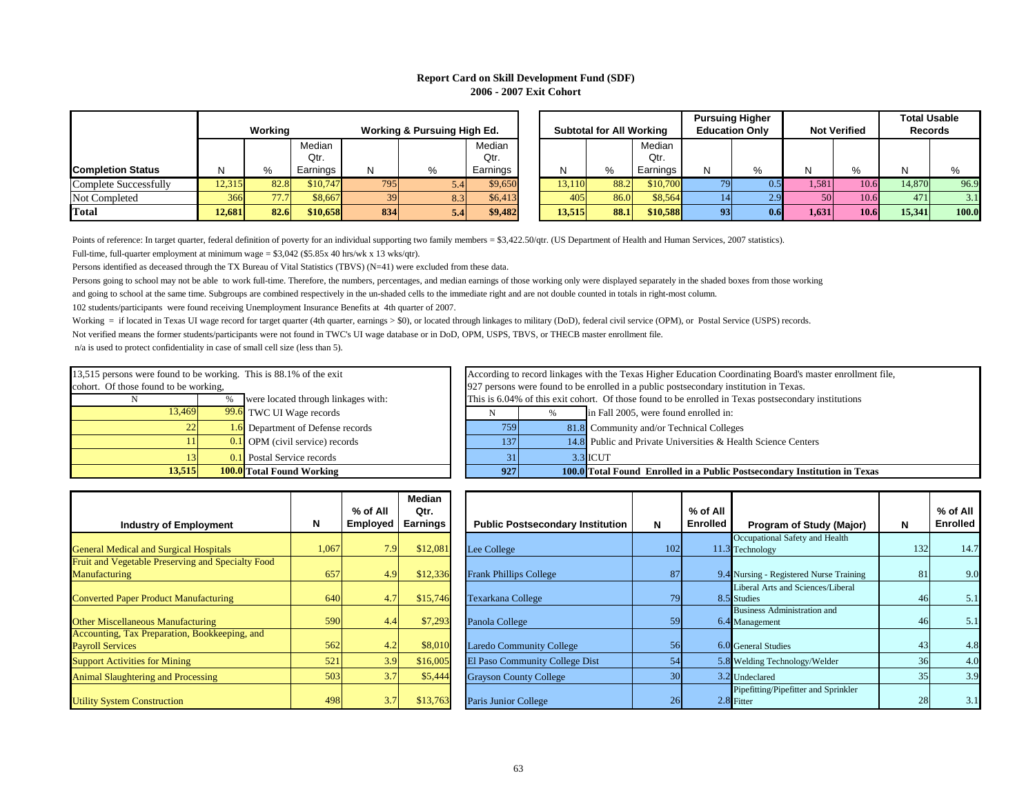Persons going to school may not be able to work full-time. Therefore, the numbers, percentages, and median earnings of those working only were displayed separately in the shaded boxes from those working and going to school at the same time. Subgroups are combined respectively in the un-shaded cells to the immediate right and are not double counted in totals in right-most column.

# **Report Card on Skill Development Fund (SDF) 2006 - 2007 Exit Cohort**

|                              |              | Working |          |     | <b>Working &amp; Pursuing High Ed.</b> |          |        | <b>Subtotal for All Working</b> |          |     | <b>Pursuing Higher</b><br><b>Education Only</b> |        | <b>Not Verified</b> | <b>Total Usable</b><br><b>Records</b> |       |
|------------------------------|--------------|---------|----------|-----|----------------------------------------|----------|--------|---------------------------------|----------|-----|-------------------------------------------------|--------|---------------------|---------------------------------------|-------|
|                              |              |         | Median   |     |                                        | Median   |        |                                 | Median   |     |                                                 |        |                     |                                       |       |
|                              |              |         | Qtr.     |     |                                        | Qtr.     |        |                                 | Qtr.     |     |                                                 |        |                     |                                       |       |
| <b>Completion Status</b>     | <sup>N</sup> | %       | Earnings | N   | %                                      | Earnings |        | %                               | Earnings | N   | 0/2                                             | NL     | 0/2                 |                                       | 0/2   |
| <b>Complete Successfully</b> | 12,315       | 82.8    | \$10,747 | 795 | 5.4                                    | \$9,650  | 13,110 | 88.2                            | \$10,700 | 79I | 0.51                                            | 1,581V | 10.6                | 14,870                                | 96.9  |
| Not Completed                | 366          | 77.7    | \$8,667  | 39  | 8.3                                    | \$6,413  | 405    | 86.0                            | \$8,564  |     | 2.9 <sub>1</sub>                                | 50     | 10.6                | 471                                   | 3.1   |
| <b>Total</b>                 | 12,681       | 82.6    | \$10,658 | 834 | 5.4                                    | \$9,482  | 13,515 | 88.1                            | \$10,588 | 93  | 0.61                                            | 1,631  | 10.6                | 15,341                                | 100.0 |

Points of reference: In target quarter, federal definition of poverty for an individual supporting two family members = \$3,422.50/qtr. (US Department of Health and Human Services, 2007 statistics). Full-time, full-quarter employment at minimum wage =  $$3,042$  (\$5.85x 40 hrs/wk x 13 wks/qtr).

Persons identified as deceased through the TX Bureau of Vital Statistics (TBVS) (N=41) were excluded from these data.

According to record linkages with the Texas Higher Education Coordinating Board's master enrollment file, This is 6.04% of this exit cohort. Of those found to be enrolled in Texas postsecondary institutions 927 persons were found to be enrolled in a public postsecondary institution in Texas.

Not verified means the former students/participants were not found in TWC's UI wage database or in DoD, OPM, USPS, TBVS, or THECB master enrollment file. n/a is used to protect confidentiality in case of small cell size (less than 5). Working = if located in Texas UI wage record for target quarter (4th quarter, earnings > \$0), or located through linkages to military (DoD), federal civil service (OPM), or Postal Service (USPS) records.

| <b>Industry of Employment</b>                     | N     | $%$ of All<br><b>Employed</b> | <b>Median</b><br>Qtr.<br><b>Earnings</b> | <b>Public Postsecondary Institution</b> |
|---------------------------------------------------|-------|-------------------------------|------------------------------------------|-----------------------------------------|
|                                                   | 1,067 | 7.9                           | \$12,081                                 |                                         |
| <b>General Medical and Surgical Hospitals</b>     |       |                               |                                          | Lee College                             |
| Fruit and Vegetable Preserving and Specialty Food |       |                               |                                          |                                         |
| <b>Manufacturing</b>                              | 657   | 4.9                           | \$12,336                                 | <b>Frank Phillips College</b>           |
| <b>Converted Paper Product Manufacturing</b>      | 640   | 4.7                           | \$15,746                                 | Texarkana College                       |
| <b>Other Miscellaneous Manufacturing</b>          | 590   | 4.4                           | \$7,293                                  | Panola College                          |
| Accounting, Tax Preparation, Bookkeeping, and     |       |                               |                                          |                                         |
| <b>Payroll Services</b>                           | 562   | 4.2                           | \$8,010                                  | <b>Laredo Community College</b>         |
| <b>Support Activities for Mining</b>              | 521   | 3.9                           | \$16,005                                 | El Paso Community College Dist          |
| <b>Animal Slaughtering and Processing</b>         | 503   | 3.7                           | \$5,444                                  | <b>Grayson County College</b>           |
| <b>Utility System Construction</b>                | 498   | 3.7                           | \$13,763                                 | Paris Junior College                    |

| 13,515                                |                                                                    | <b>100.0</b> Total Found Working             | 927 | 100.0                          |  |  |  |  |
|---------------------------------------|--------------------------------------------------------------------|----------------------------------------------|-----|--------------------------------|--|--|--|--|
|                                       |                                                                    | <b>0.1</b> Postal Service records            | 31  | 3.3                            |  |  |  |  |
|                                       |                                                                    | $\overline{0.1}$ OPM (civil service) records | 137 | 14.8                           |  |  |  |  |
| 22 <sub>1</sub>                       |                                                                    | <b>1.6</b> Department of Defense records     | 759 | 81.8                           |  |  |  |  |
| 13,469                                |                                                                    | 99.6 TWC UI Wage records                     |     | $\%$                           |  |  |  |  |
|                                       | $\%$                                                               | were located through linkages with:          |     | This is 6.04% of this exit coh |  |  |  |  |
| cohort. Of those found to be working, |                                                                    | 927 persons were found to be                 |     |                                |  |  |  |  |
|                                       | 13,515 persons were found to be working. This is 88.1% of the exit |                                              |     |                                |  |  |  |  |

102 students/participants were found receiving Unemployment Insurance Benefits at 4th quarter of 2007.

|       | % of All<br><b>Employed</b> | <b>Median</b><br>Qtr.<br><b>Earnings</b> | <b>Public Postsecondary Institution</b> | N               | % of All<br><b>Enrolled</b> | <b>Program of Study (Major)</b>                      | N   | % of All<br><b>Enrolled</b> |
|-------|-----------------------------|------------------------------------------|-----------------------------------------|-----------------|-----------------------------|------------------------------------------------------|-----|-----------------------------|
| 1,067 | 7.9                         | \$12,081                                 | Lee College                             | 102             |                             | Occupational Safety and Health<br>11.3 Technology    | 132 | 14.7                        |
| 657   | 4.9                         | \$12,336                                 | <b>Frank Phillips College</b>           | 87              |                             | 9.4 Nursing - Registered Nurse Training              | 81  | 9.0                         |
| 640   | 4.7                         | \$15,746                                 | <b>Texarkana College</b>                | 79              |                             | Liberal Arts and Sciences/Liberal<br>8.5 Studies     | 46  | 5.1                         |
| 590   | 4.4                         | \$7,293                                  | Panola College                          | 59              |                             | <b>Business Administration and</b><br>6.4 Management | 46  | 5.1                         |
| 562   | 4.2                         | \$8,010                                  | <b>Laredo Community College</b>         | 56              |                             | 6.0 General Studies                                  | 43  | 4.8                         |
| 521   | 3.9                         | \$16,005                                 | El Paso Community College Dist          | 54              |                             | 5.8 Welding Technology/Welder                        | 36  | 4.0                         |
| 503   | 3.7                         | \$5,444                                  | <b>Grayson County College</b>           | 30 <sup>l</sup> |                             | 3.2 Undeclared                                       | 35  | 3.9                         |
| 498   | 3.7                         | \$13,763                                 | Paris Junior College                    | 26              |                             | Pipefitting/Pipefitter and Sprinkler<br>$2.8$ Fitter | 28  | 3.1                         |

| 927  |      | 100.0 Total Found Enrolled in a Public Postsecondary Instit   |
|------|------|---------------------------------------------------------------|
|      |      | 3.3 ICUT                                                      |
| 137  |      | 14.8 Public and Private Universities & Health Science Centers |
| 7591 |      | 81.8 Community and/or Technical Colleges                      |
|      | $\%$ | in Fall 2005, were found enrolled in:                         |
|      |      |                                                               |

**Trigoritution in Texas**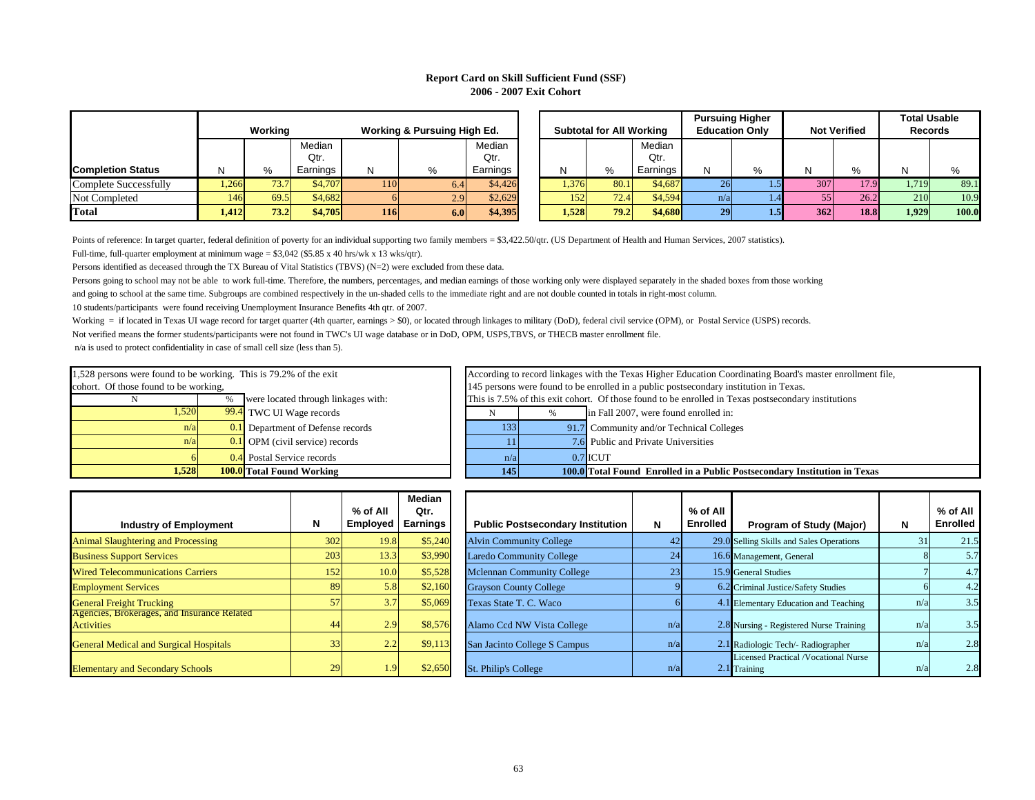# **Report Card on Skill Sufficient Fund (SSF) 2006 - 2007 Exit Cohort**

Persons going to school may not be able to work full-time. Therefore, the numbers, percentages, and median earnings of those working only were displayed separately in the shaded boxes from those working and going to school at the same time. Subgroups are combined respectively in the un-shaded cells to the immediate right and are not double counted in totals in right-most column.

10 students/participants were found receiving Unemployment Insurance Benefits 4th qtr. of 2007.

According to record linkages with the Texas Higher Education Coordinating Board's master enrollment file, This is 7.5% of this exit cohort. Of those found to be enrolled in Texas postsecondary institutions 145 persons were found to be enrolled in a public postsecondary institution in Texas.

|                          | Working<br><b>Working &amp; Pursuing High Ed.</b> |      |          |     | <b>Subtotal for All Working</b> |          |       | <b>Pursuing Higher</b><br><b>Education Only</b> |          | <b>Not Verified</b> |                  | <b>Total Usable</b><br><b>Records</b> |             |       |       |
|--------------------------|---------------------------------------------------|------|----------|-----|---------------------------------|----------|-------|-------------------------------------------------|----------|---------------------|------------------|---------------------------------------|-------------|-------|-------|
|                          |                                                   |      | Median   |     |                                 | Median   |       |                                                 | Median   |                     |                  |                                       |             |       |       |
|                          |                                                   |      | Qtr.     |     |                                 | Qtr.     |       |                                                 | Qtr.     |                     |                  |                                       |             |       |       |
| <b>Completion Status</b> |                                                   | %    | Earnings | N   | %                               | Earnings |       | %                                               | Earnings | N                   | %                | -N)                                   |             |       | O/    |
| Complete Successfully    | 1,266                                             | 73.7 | \$4,707  | 110 | 6.4                             | \$4,426  | 1,376 | 80.1                                            | \$4,687  | <b>26</b>           | $.5\blacksquare$ | 307                                   | 17.9        | 1,719 | 89.1  |
| Not Completed            | 146                                               | 69.5 | \$4,682  |     | 2.9 <sub>l</sub>                | \$2,629  | 152   | 72.4                                            | \$4,594  | n/a                 | l .41            | 55                                    | 26.2        | 210   | 10.9  |
| <b>Total</b>             | 1,412                                             | 73.2 | \$4,705  | 116 | 6.0                             | \$4,395  | 1,528 | 79.2                                            | \$4,680  | 29                  | 1.5              | 362                                   | <b>18.8</b> | 1,929 | 100.0 |

Full-time, full-quarter employment at minimum wage =  $$3,042$  (\$5.85 x 40 hrs/wk x 13 wks/qtr). Points of reference: In target quarter, federal definition of poverty for an individual supporting two family members = \$3,422.50/qtr. (US Department of Health and Human Services, 2007 statistics).

Persons identified as deceased through the TX Bureau of Vital Statistics (TBVS) (N=2) were excluded from these data.

| <b>Industry of Employment</b>                                    | N   | % of All<br><b>Employed</b> | <b>Median</b><br>Qtr.<br><b>Earnings</b> | <b>Public Postsecondary Institution</b> |
|------------------------------------------------------------------|-----|-----------------------------|------------------------------------------|-----------------------------------------|
| <b>Animal Slaughtering and Processing</b>                        | 302 | 19.8                        | \$5,240                                  | <b>Alvin Community College</b>          |
| <b>Business Support Services</b>                                 | 203 | 13.3                        | \$3,990                                  | <b>Laredo Community College</b>         |
| <b>Wired Telecommunications Carriers</b>                         | 152 | 10.0                        | \$5,528                                  | <b>Mclennan Community College</b>       |
| <b>Employment Services</b>                                       | 89  | 5.8                         | \$2,160                                  | <b>Grayson County College</b>           |
| <b>General Freight Trucking</b>                                  | 57  | 3.7                         | \$5,069                                  | Texas State T. C. Waco                  |
| Agencies, Brokerages, and Insurance Related<br><b>Activities</b> | 44  | 2.9                         | \$8,576                                  | Alamo Ccd NW Vista College              |
| <b>General Medical and Surgical Hospitals</b>                    | 33  | 2.2                         | \$9,113                                  | San Jacinto College S Campus            |
| <b>Elementary and Secondary Schools</b>                          | 29  | 1.9                         | \$2,650                                  | St. Philip's College                    |

| 1,528                                                             |      | <b>100.0</b> Total Found Working         | 145          |
|-------------------------------------------------------------------|------|------------------------------------------|--------------|
| 61                                                                |      | 0.4 Postal Service records               | n/a          |
| n/a                                                               |      | $0.1$ OPM (civil service) records        |              |
| n/a                                                               |      | <b>0.1</b> Department of Defense records | 133          |
| 1,520                                                             |      | 99.4 TWC UI Wage records                 |              |
|                                                                   | $\%$ | were located through linkages with:      | This is 7.5% |
| cohort. Of those found to be working,                             |      |                                          | 145 persons  |
| 1,528 persons were found to be working. This is 79.2% of the exit |      |                                          | According to |

Not verified means the former students/participants were not found in TWC's UI wage database or in DoD, OPM, USPS,TBVS, or THECB master enrollment file. n/a is used to protect confidentiality in case of small cell size (less than 5). Working = if located in Texas UI wage record for target quarter (4th quarter, earnings > \$0), or located through linkages to military (DoD), federal civil service (OPM), or Postal Service (USPS) records.

| <b>Industry of Employment</b>                                    | N         | % of All<br><b>Employed</b> | <b>Median</b><br>Qtr.<br><b>Earnings</b> | <b>Public Postsecondary Institution</b> | N               | % of All<br><b>Enrolled</b> | <b>Program of Study (Major)</b>                               | N   | % of All<br><b>Enrolled</b> |
|------------------------------------------------------------------|-----------|-----------------------------|------------------------------------------|-----------------------------------------|-----------------|-----------------------------|---------------------------------------------------------------|-----|-----------------------------|
| <b>Animal Slaughtering and Processing</b>                        | 302       | 19.8                        | \$5,240                                  | <b>Alvin Community College</b>          | 42              |                             | 29.0 Selling Skills and Sales Operations                      | 31  | 21.5                        |
| <b>Business Support Services</b>                                 | 203       | 13.3                        | \$3,990                                  | <b>Laredo Community College</b>         | 24              |                             | 16.6 Management, General                                      |     | 5.7                         |
| <b>Wired Telecommunications Carriers</b>                         | 152       | 10.0                        | \$5,528                                  | <b>Mclennan Community College</b>       | $\overline{23}$ |                             | 15.9 General Studies                                          |     | 4.7                         |
| <b>Employment Services</b>                                       | <b>89</b> | 5.8                         | \$2,160                                  | <b>Grayson County College</b>           |                 |                             | 6.2 Criminal Justice/Safety Studies                           |     | 4.2                         |
| <b>General Freight Trucking</b>                                  | 57        | 3.7                         | \$5,069                                  | Texas State T. C. Waco                  |                 |                             | 4.1 Elementary Education and Teaching                         | n/a | 3.5                         |
| Agencies, Brokerages, and Insurance Related<br><b>Activities</b> | 44        | 2.9                         | \$8,576                                  | Alamo Ccd NW Vista College              | n/a             |                             | 2.8 Nursing - Registered Nurse Training                       | n/a | 3.5                         |
| <b>General Medical and Surgical Hospitals</b>                    | 33        | 2.2                         | \$9,113                                  | San Jacinto College S Campus            | n/a             |                             | 2.1 Radiologic Tech/- Radiographer                            | n/a | 2.8                         |
| <b>Elementary and Secondary Schools</b>                          | 29        | 1.91                        | \$2,650                                  | <b>St. Philip's College</b>             | n/a             |                             | <b>Licensed Practical /Vocational Nurse</b><br>$2.1$ Training | n/a | 2.8                         |

| <b>145</b> |               | <b>100.0</b> Total Found Enrolled in a Public Postsecondary |
|------------|---------------|-------------------------------------------------------------|
| n/a        |               | $0.7$ ICUT                                                  |
| 11         |               | 7.6 Public and Private Universities                         |
| 133        |               | 91.7 Community and/or Technical Colleges                    |
|            | $\frac{0}{0}$ | in Fall 2007, were found enrolled in:                       |
|            |               |                                                             |

**Institution in Texas**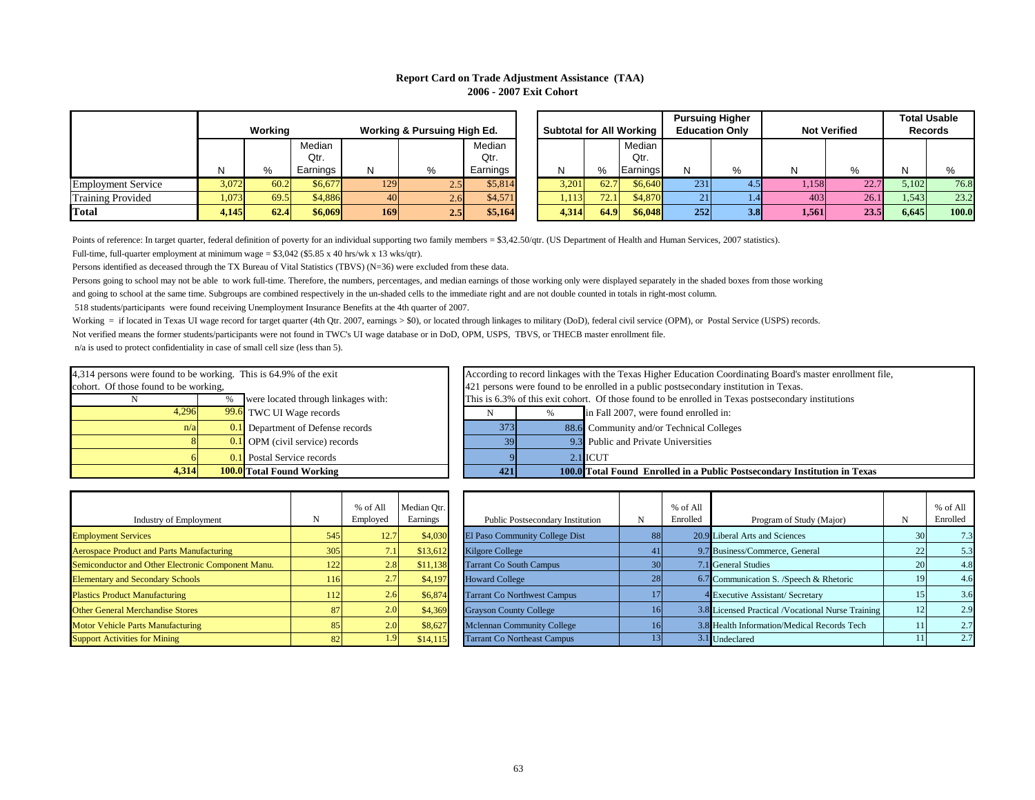|                           |         |      |                                        |            |      |                                 |       |      |                       |     | <b>Pursuing Higher</b> |       |                |       | <b>Total Usable</b> |
|---------------------------|---------|------|----------------------------------------|------------|------|---------------------------------|-------|------|-----------------------|-----|------------------------|-------|----------------|-------|---------------------|
|                           | Working |      | <b>Working &amp; Pursuing High Ed.</b> |            |      | <b>Subtotal for All Working</b> |       |      | <b>Education Only</b> |     | <b>Not Verified</b>    |       | <b>Records</b> |       |                     |
|                           |         |      | Median                                 |            |      | Median                          |       |      | Median I              |     |                        |       |                |       |                     |
|                           |         |      | Qtr.                                   |            |      | Qtr.                            |       |      | Qtr.                  |     |                        |       |                |       |                     |
|                           |         | %    | Earnings                               |            | $\%$ | Earnings                        |       | %    | Earnings              |     | %                      |       |                |       |                     |
| <b>Employment Service</b> | 3,072   | 60.2 | \$6,677                                | 129        | 2.5V | \$5,814                         | 3,201 | 62.7 | \$6,640               | 231 |                        | 1,158 | 22.7           | 5,102 | 76.8                |
| <b>Training Provided</b>  | 1,073   | 69.5 | \$4,886                                | 40         | 2.61 | \$4,571                         | 1,113 | 72.1 | \$4,870               | 21  | 1.4                    | 403   | 26.1           | 1,543 | 23.2                |
| <b>Total</b>              | 4,145   | 62.4 | \$6,069                                | <b>169</b> | 2.51 | \$5,164                         | 4,314 | 64.9 | \$6,048               | 252 | 3.8                    | 1,561 | 23.5           | 6,645 | 100.0               |

Points of reference: In target quarter, federal definition of poverty for an individual supporting two family members = \$3,42.50/qtr. (US Department of Health and Human Services, 2007 statistics).

Full-time, full-quarter employment at minimum wage =  $$3,042$  (\$5.85 x 40 hrs/wk x 13 wks/qtr).

Persons identified as deceased through the TX Bureau of Vital Statistics (TBVS) (N=36) were excluded from these data.

## **Report Card on Trade Adjustment Assistance (TAA) 2006 - 2007 Exit Cohort**

Persons going to school may not be able to work full-time. Therefore, the numbers, percentages, and median earnings of those working only were displayed separately in the shaded boxes from those working and going to school at the same time. Subgroups are combined respectively in the un-shaded cells to the immediate right and are not double counted in totals in right-most column.

> According to record linkages with the Texas Higher Education Coordinating Board's master enrollment file, This is 6.3% of this exit cohort. Of those found to be enrolled in Texas postsecondary institutions 421 persons were found to be enrolled in a public postsecondary institution in Texas.

| 4,314 |                                                                   | <b>100.0</b> Total Found Working             | 421 | 100.0 |  |  |  |  |
|-------|-------------------------------------------------------------------|----------------------------------------------|-----|-------|--|--|--|--|
|       |                                                                   | <b>0.1</b> Postal Service records            |     | 2.1   |  |  |  |  |
|       |                                                                   | $\overline{0.1}$ OPM (civil service) records | 39  | 9.3   |  |  |  |  |
| n/a   |                                                                   | 0.1 Department of Defense records            | 373 | 88.6  |  |  |  |  |
| 4,296 |                                                                   | 99.6 TWC UI Wage records                     |     | $\%$  |  |  |  |  |
|       |                                                                   | This is 6.3% of this exit coho               |     |       |  |  |  |  |
|       | cohort. Of those found to be working,                             |                                              |     |       |  |  |  |  |
|       | 4,314 persons were found to be working. This is 64.9% of the exit |                                              |     |       |  |  |  |  |

| Industry of Employment                             | N   | $%$ of All<br>Employed | Median Otr.<br>Earnings |
|----------------------------------------------------|-----|------------------------|-------------------------|
| <b>Employment Services</b>                         | 545 | 12.7                   | \$4,030                 |
| <b>Aerospace Product and Parts Manufacturing</b>   | 305 | 7.1                    | \$13,612                |
| Semiconductor and Other Electronic Component Manu. | 122 | 2.8                    | \$11,138                |
| <b>Elementary and Secondary Schools</b>            | 116 | 2.7                    | \$4,197                 |
| <b>Plastics Product Manufacturing</b>              | 112 | 2.6                    | \$6,874                 |
| <b>Other General Merchandise Stores</b>            | 87  | 2.0                    | \$4,369                 |
| <b>Motor Vehicle Parts Manufacturing</b>           | 85  | 2.0                    | \$8,627                 |
| <b>Support Activities for Mining</b>               | 82  | 1.9                    | \$14,115                |

Not verified means the former students/participants were not found in TWC's UI wage database or in DoD, OPM, USPS, TBVS, or THECB master enrollment file. n/a is used to protect confidentiality in case of small cell size (less than 5). Working = if located in Texas UI wage record for target quarter (4th Qtr. 2007, earnings > \$0), or located through linkages to military (DoD), federal civil service (OPM), or Postal Service (USPS) records.

|     | % of All<br>Employed | Median Qtr.<br>Earnings | Public Postsecondary Institution   | N               | % of All<br>Enrolled | Program of Study (Major)                          |    | % of All<br>Enrolled |
|-----|----------------------|-------------------------|------------------------------------|-----------------|----------------------|---------------------------------------------------|----|----------------------|
| 545 | 12.7                 | \$4,030                 | El Paso Community College Dist     | 88              |                      | 20.9 Liberal Arts and Sciences                    | 30 | 7.3                  |
| 305 | 7.1                  | \$13,612                | <b>Kilgore College</b>             | 41              |                      | 9.7 Business/Commerce, General                    | 22 | 5.3                  |
| 122 | 2.8                  | \$11,138                | <b>Tarrant Co South Campus</b>     | 30              |                      | 7.1 General Studies                               | 20 | 4.8                  |
| 116 | 2.7                  | \$4,197                 | <b>Howard College</b>              | 28              |                      | 6.7 Communication S. /Speech & Rhetoric           | 19 | 4.6                  |
| 112 | 2.6                  | \$6,874                 | <b>Tarrant Co Northwest Campus</b> |                 |                      | 4 Executive Assistant/ Secretary                  | 15 | 3.6                  |
| 87  | 2.0                  | \$4,369                 | <b>Grayson County College</b>      | 16              |                      | 3.8 Licensed Practical /Vocational Nurse Training | 12 | 2.9                  |
| 85  | 2.0                  | \$8,627                 | <b>Mclennan Community College</b>  | 16              |                      | 3.8 Health Information/Medical Records Tech       |    | 2.7                  |
| 82  | 1.9                  | \$14,115                | <b>Tarrant Co Northeast Campus</b> | 13 <sup>l</sup> |                      | 3.1 Undeclared                                    |    | 2.7                  |

518 students/participants were found receiving Unemployment Insurance Benefits at the 4th quarter of 2007.

| <b>Total Found Working</b>    | 421 |      | 100.0 Total Found Enrolled in a Public Postsecondary In |
|-------------------------------|-----|------|---------------------------------------------------------|
| Postal Service records        |     |      | $2.1$ ICUT                                              |
| OPM (civil service) records   | 39  |      | 9.3 Public and Private Universities                     |
| Department of Defense records | 373 |      | 88.6 Community and/or Technical Colleges                |
| TWC UI Wage records           | N   | $\%$ | in Fall 2007, were found enrolled in:                   |

#### **nstitution in Texas**